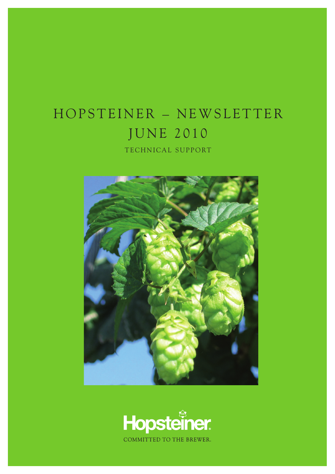## HOPSTEINER - NEWSLETTER JUNE 2010 TECHNICAL SUPPORT